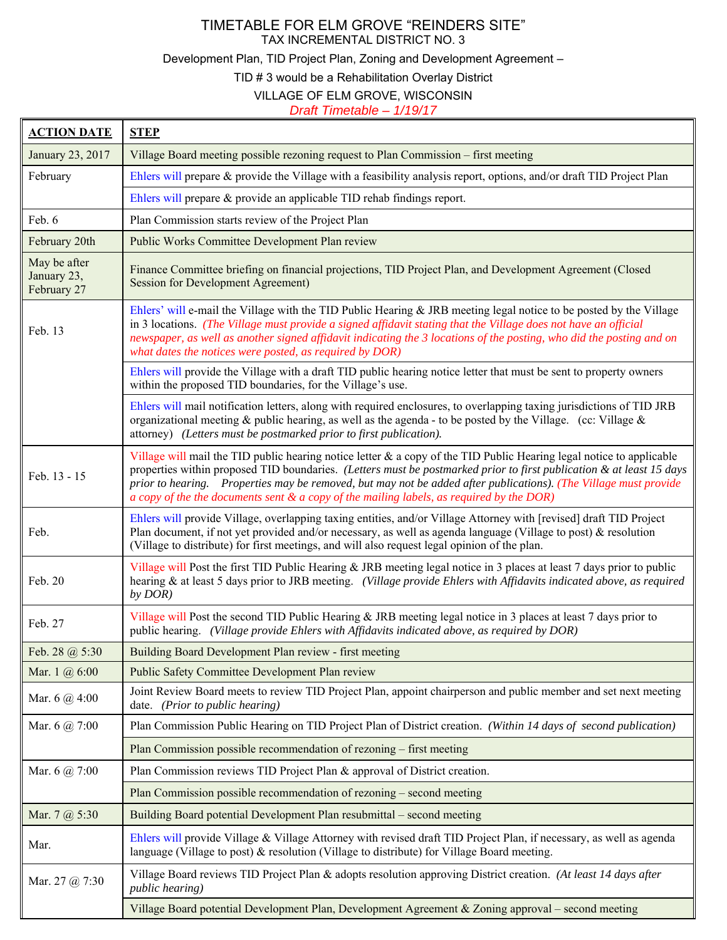# TIMETABLE FOR ELM GROVE "REINDERS SITE"

TAX INCREMENTAL DISTRICT NO. 3

## Development Plan, TID Project Plan, Zoning and Development Agreement –

## TID # 3 would be a Rehabilitation Overlay District

#### VILLAGE OF ELM GROVE, WISCONSIN

#### *Draft Timetable – 1/19/17*

| <b>ACTION DATE</b>                         | <b>STEP</b>                                                                                                                                                                                                                                                                                                                                                                                                                                                     |
|--------------------------------------------|-----------------------------------------------------------------------------------------------------------------------------------------------------------------------------------------------------------------------------------------------------------------------------------------------------------------------------------------------------------------------------------------------------------------------------------------------------------------|
| January 23, 2017                           | Village Board meeting possible rezoning request to Plan Commission – first meeting                                                                                                                                                                                                                                                                                                                                                                              |
| February                                   | Ehlers will prepare & provide the Village with a feasibility analysis report, options, and/or draft TID Project Plan                                                                                                                                                                                                                                                                                                                                            |
|                                            | Ehlers will prepare & provide an applicable TID rehab findings report.                                                                                                                                                                                                                                                                                                                                                                                          |
| Feb. 6                                     | Plan Commission starts review of the Project Plan                                                                                                                                                                                                                                                                                                                                                                                                               |
| February 20th                              | Public Works Committee Development Plan review                                                                                                                                                                                                                                                                                                                                                                                                                  |
| May be after<br>January 23,<br>February 27 | Finance Committee briefing on financial projections, TID Project Plan, and Development Agreement (Closed<br><b>Session for Development Agreement)</b>                                                                                                                                                                                                                                                                                                           |
| Feb. 13                                    | Ehlers' will e-mail the Village with the TID Public Hearing & JRB meeting legal notice to be posted by the Village<br>in 3 locations. (The Village must provide a signed affidavit stating that the Village does not have an official<br>newspaper, as well as another signed affidavit indicating the 3 locations of the posting, who did the posting and on<br>what dates the notices were posted, as required by DOR)                                        |
|                                            | Ehlers will provide the Village with a draft TID public hearing notice letter that must be sent to property owners<br>within the proposed TID boundaries, for the Village's use.                                                                                                                                                                                                                                                                                |
|                                            | Ehlers will mail notification letters, along with required enclosures, to overlapping taxing jurisdictions of TID JRB<br>organizational meeting & public hearing, as well as the agenda - to be posted by the Village. (cc: Village $\&$<br>attorney) (Letters must be postmarked prior to first publication).                                                                                                                                                  |
| Feb. 13 - 15                               | Village will mail the TID public hearing notice letter & a copy of the TID Public Hearing legal notice to applicable<br>properties within proposed TID boundaries. (Letters must be postmarked prior to first publication & at least 15 days<br>prior to hearing. Properties may be removed, but may not be added after publications). (The Village must provide<br>a copy of the the documents sent $\&$ a copy of the mailing labels, as required by the DOR) |
| Feb.                                       | Ehlers will provide Village, overlapping taxing entities, and/or Village Attorney with [revised] draft TID Project<br>Plan document, if not yet provided and/or necessary, as well as agenda language (Village to post) & resolution<br>(Village to distribute) for first meetings, and will also request legal opinion of the plan.                                                                                                                            |
| Feb. 20                                    | Village will Post the first TID Public Hearing & JRB meeting legal notice in 3 places at least 7 days prior to public<br>hearing & at least 5 days prior to JRB meeting. (Village provide Ehlers with Affidavits indicated above, as required<br>$by$ $DOR$ )                                                                                                                                                                                                   |
| Feb. 27                                    | Village will Post the second TID Public Hearing & JRB meeting legal notice in 3 places at least 7 days prior to<br>public hearing. (Village provide Ehlers with Affidavits indicated above, as required by DOR)                                                                                                                                                                                                                                                 |
| Feb. 28 @ 5:30                             | Building Board Development Plan review - first meeting                                                                                                                                                                                                                                                                                                                                                                                                          |
| Mar. 1 @ 6:00                              | Public Safety Committee Development Plan review                                                                                                                                                                                                                                                                                                                                                                                                                 |
| Mar. $6 @ 4:00$                            | Joint Review Board meets to review TID Project Plan, appoint chairperson and public member and set next meeting<br>date. (Prior to public hearing)                                                                                                                                                                                                                                                                                                              |
| Mar. 6 @ 7:00                              | Plan Commission Public Hearing on TID Project Plan of District creation. (Within 14 days of second publication)                                                                                                                                                                                                                                                                                                                                                 |
|                                            | Plan Commission possible recommendation of rezoning – first meeting                                                                                                                                                                                                                                                                                                                                                                                             |
| Mar. 6 @ 7:00                              | Plan Commission reviews TID Project Plan & approval of District creation.                                                                                                                                                                                                                                                                                                                                                                                       |
|                                            | Plan Commission possible recommendation of rezoning – second meeting                                                                                                                                                                                                                                                                                                                                                                                            |
| Mar. 7 @ 5:30                              | Building Board potential Development Plan resubmittal – second meeting                                                                                                                                                                                                                                                                                                                                                                                          |
| Mar.                                       | Ehlers will provide Village & Village Attorney with revised draft TID Project Plan, if necessary, as well as agenda<br>language (Village to post) $\&$ resolution (Village to distribute) for Village Board meeting.                                                                                                                                                                                                                                            |
| Mar. 27 @ 7:30                             | Village Board reviews TID Project Plan & adopts resolution approving District creation. (At least 14 days after<br><i>public hearing</i> )                                                                                                                                                                                                                                                                                                                      |
|                                            | Village Board potential Development Plan, Development Agreement & Zoning approval – second meeting                                                                                                                                                                                                                                                                                                                                                              |